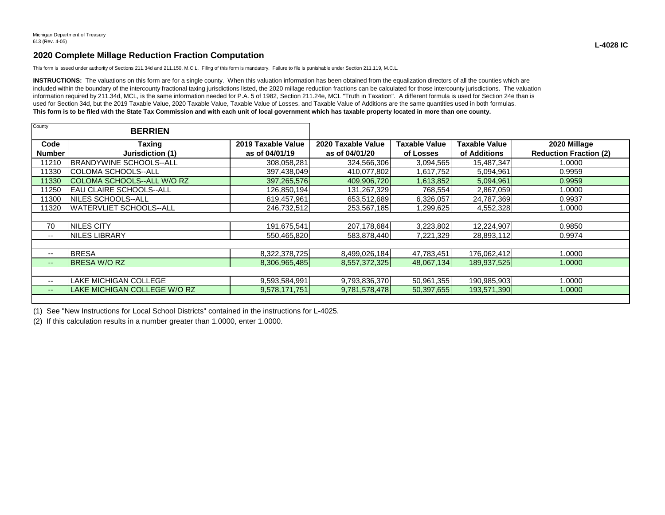## **2020 Complete Millage Reduction Fraction Computation**

This form is issued under authority of Sections 211.34d and 211.150, M.C.L. Filing of this form is mandatory. Failure to file is punishable under Section 211.119, M.C.L.

INSTRUCTIONS: The valuations on this form are for a single county. When this valuation information has been obtained from the equalization directors of all the counties which are included within the boundary of the intercounty fractional taxing jurisdictions listed, the 2020 millage reduction fractions can be calculated for those intercounty jurisdictions. The valuation information required by 211.34d, MCL, is the same information needed for P.A. 5 of 1982, Section 211.24e, MCL "Truth in Taxation". A different formula is used for Section 24e than is used for Section 34d, but the 2019 Taxable Value, 2020 Taxable Value, Taxable Value of Losses, and Taxable Value of Additions are the same quantities used in both formulas. **This form is to be filed with the State Tax Commission and with each unit of local government which has taxable property located in more than one county.**

| County                | <b>BERRIEN</b>                  |                                      |                                      |                            |                                      |                                               |
|-----------------------|---------------------------------|--------------------------------------|--------------------------------------|----------------------------|--------------------------------------|-----------------------------------------------|
| Code<br><b>Number</b> | Taxing<br>Jurisdiction (1)      | 2019 Taxable Value<br>as of 04/01/19 | 2020 Taxable Value<br>as of 04/01/20 | Taxable Value<br>of Losses | <b>Taxable Value</b><br>of Additions | 2020 Millage<br><b>Reduction Fraction (2)</b> |
| 11210                 | <b>IBRANDYWINE SCHOOLS--ALL</b> | 308,058,281                          | 324,566,306                          | 3,094,565                  | 15,487,347                           | 1.0000                                        |
| 11330                 | COLOMA SCHOOLS--ALL             | 397,438,049                          | 410,077,802                          | 1,617,752                  | 5,094,961                            | 0.9959                                        |
| 11330                 | COLOMA SCHOOLS--ALL W/O RZ      | 397,265,576                          | 409,906,720                          | 1,613,852                  | 5,094,961                            | 0.9959                                        |
| 11250                 | <b>EAU CLAIRE SCHOOLS--ALL</b>  | 126,850,194                          | 131,267,329                          | 768,554                    | 2,867,059                            | 1.0000                                        |
| 11300                 | INILES SCHOOLS--ALL             | 619,457,961                          | 653,512,689                          | 6,326,057                  | 24,787,369                           | 0.9937                                        |
| 11320                 | <b>WATERVLIET SCHOOLS--ALL</b>  | 246,732,512                          | 253,567,185                          | 299,625,                   | 4,552,328                            | 1.0000                                        |
|                       |                                 |                                      |                                      |                            |                                      |                                               |
| 70                    | <b>NILES CITY</b>               | 191,675,541                          | 207,178,684                          | 3,223,802                  | 12,224,907                           | 0.9850                                        |
| $- -$                 | <b>NILES LIBRARY</b>            | 550,465,820                          | 583,878,440                          | 7,221,329                  | 28,893,112                           | 0.9974                                        |
|                       |                                 |                                      |                                      |                            |                                      |                                               |
| $- -$                 | <b>BRESA</b>                    | 8,322,378,725                        | 8,499,026,184                        | 47,783,451                 | 176,062,412                          | 1.0000                                        |
| $- -$                 | <b>BRESA W/O RZ</b>             | 8,306,965,485                        | 8,557,372,325                        | 48,067,134                 | 189,937,525                          | 1.0000                                        |
|                       |                                 |                                      |                                      |                            |                                      |                                               |
| --                    | <b>LAKE MICHIGAN COLLEGE</b>    | 9,593,584,991                        | 9,793,836,370                        | 50,961,355                 | 190,985,903                          | 1.0000                                        |
| --                    | LAKE MICHIGAN COLLEGE W/O RZ    | 9,578,171,751                        | 9,781,578,478                        | 50,397,655                 | 193,571,390                          | 1.0000                                        |
|                       |                                 |                                      |                                      |                            |                                      |                                               |

(1) See "New Instructions for Local School Districts" contained in the instructions for L-4025.

(2) If this calculation results in a number greater than 1.0000, enter 1.0000.